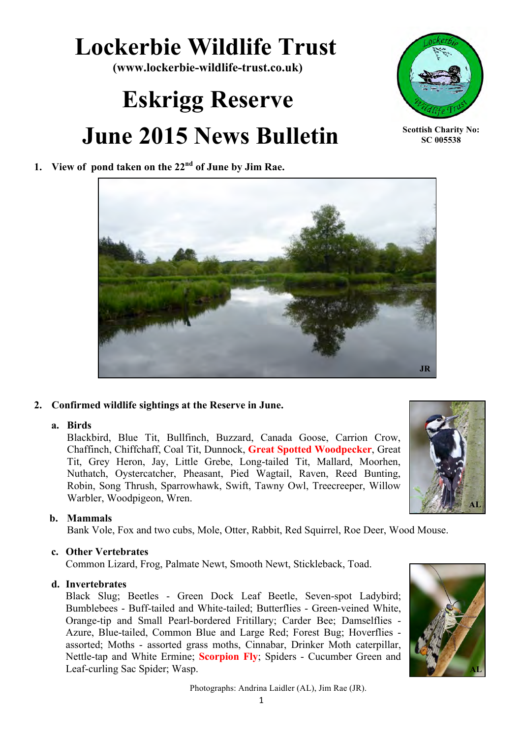## **Lockerbie Wildlife Trust**

**(www.lockerbie-wildlife-trust.co.uk)**

# **Eskrigg Reserve June 2015 News Bulletin**



**Scottish Charity No: SC 005538**

## **1. View of pond taken on the 22nd of June by Jim Rae.**



#### **2. Confirmed wildlife sightings at the Reserve in June.**

#### **a. Birds**

Blackbird, Blue Tit, Bullfinch, Buzzard, Canada Goose, Carrion Crow, Chaffinch, Chiffchaff, Coal Tit, Dunnock, **Great Spotted Woodpecker**, Great Tit, Grey Heron, Jay, Little Grebe, Long-tailed Tit, Mallard, Moorhen, Nuthatch, Oystercatcher, Pheasant, Pied Wagtail, Raven, Reed Bunting, Robin, Song Thrush, Sparrowhawk, Swift, Tawny Owl, Treecreeper, Willow Warbler, Woodpigeon, Wren.



#### **b. Mammals**

Bank Vole, Fox and two cubs, Mole, Otter, Rabbit, Red Squirrel, Roe Deer, Wood Mouse.

#### **c. Other Vertebrates**

Common Lizard, Frog, Palmate Newt, Smooth Newt, Stickleback, Toad.

#### **d. Invertebrates**

Black Slug; Beetles - Green Dock Leaf Beetle, Seven-spot Ladybird; Bumblebees - Buff-tailed and White-tailed; Butterflies - Green-veined White, Orange-tip and Small Pearl-bordered Fritillary; Carder Bee; Damselflies - Azure, Blue-tailed, Common Blue and Large Red; Forest Bug; Hoverflies assorted; Moths - assorted grass moths, Cinnabar, Drinker Moth caterpillar, Nettle-tap and White Ermine; **Scorpion Fly**; Spiders - Cucumber Green and Leaf-curling Sac Spider; Wasp.



Photographs: Andrina Laidler (AL), Jim Rae (JR).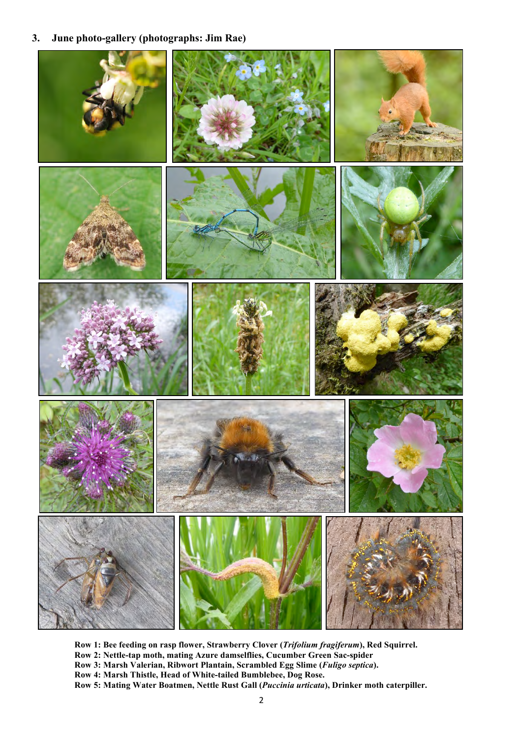#### **3. June photo-gallery (photographs: Jim Rae)**



**Row 1: Bee feeding on rasp flower, Strawberry Clover (***Trifolium fragiferum***), Red Squirrel. Row 2: Nettle-tap moth, mating Azure damselflies, Cucumber Green Sac-spider Row 3: Marsh Valerian, Ribwort Plantain, Scrambled Egg Slime (***Fuligo septica***). Row 4: Marsh Thistle, Head of White-tailed Bumblebee, Dog Rose. Row 5: Mating Water Boatmen, Nettle Rust Gall (***Puccinia urticata***), Drinker moth caterpiller.**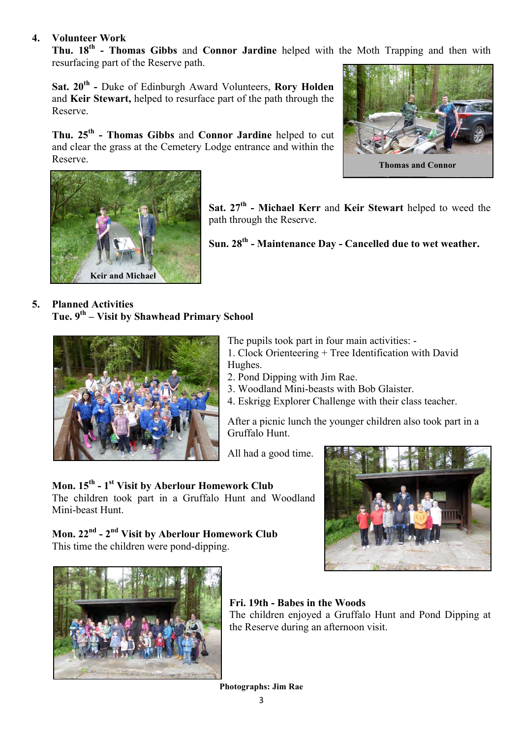#### **4. Volunteer Work**

**Thu. 18th - Thomas Gibbs** and **Connor Jardine** helped with the Moth Trapping and then with resurfacing part of the Reserve path.

**Sat. 20th -** Duke of Edinburgh Award Volunteers, **Rory Holden** and **Keir Stewart,** helped to resurface part of the path through the Reserve.

**Thu. 25th - Thomas Gibbs** and **Connor Jardine** helped to cut and clear the grass at the Cemetery Lodge entrance and within the Reserve.





**Sat. 27th - Michael Kerr** and **Keir Stewart** helped to weed the

**Sun. 28th - Maintenance Day - Cancelled due to wet weather.**

### **5. Planned Activities Tue. 9th – Visit by Shawhead Primary School**



The pupils took part in four main activities: - 1. Clock Orienteering + Tree Identification with David

Hughes.

path through the Reserve.

- 2. Pond Dipping with Jim Rae.
- 3. Woodland Mini-beasts with Bob Glaister.
- 4. Eskrigg Explorer Challenge with their class teacher.

After a picnic lunch the younger children also took part in a Gruffalo Hunt.

All had a good time.

## **Mon. 15th - 1st Visit by Aberlour Homework Club**

The children took part in a Gruffalo Hunt and Woodland Mini-beast Hunt.

## **Mon. 22nd - 2nd Visit by Aberlour Homework Club** This time the children were pond-dipping.





## **Fri. 19th - Babes in the Woods**

The children enjoyed a Gruffalo Hunt and Pond Dipping at the Reserve during an afternoon visit.

**Photographs: Jim Rae**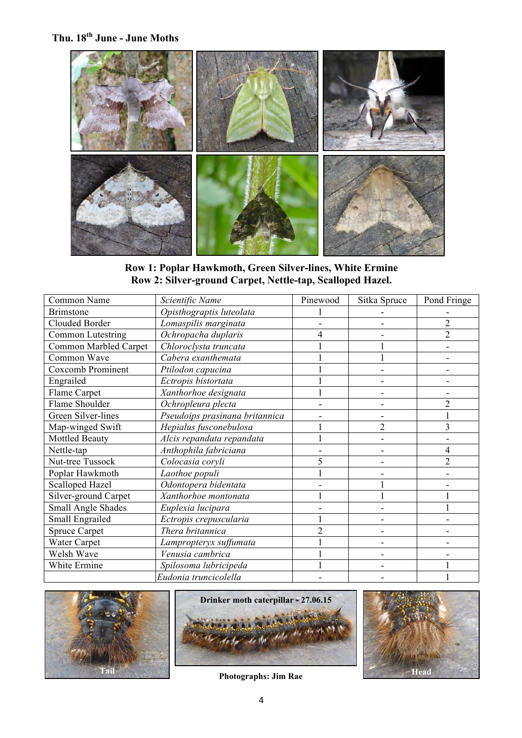**Thu. 18th June - June Moths**



**Row 1: Poplar Hawkmoth, Green Silver-lines, White Ermine Row 2: Silver-ground Carpet, Nettle-tap, Scalloped Hazel.**

| Common Name              | Scientific Name                | Pinewood | Sitka Spruce   | Pond Fringe    |
|--------------------------|--------------------------------|----------|----------------|----------------|
| <b>Brimstone</b>         | Opisthograptis luteolata       |          |                |                |
| Clouded Border           | Lomaspilis marginata           |          |                | $\overline{2}$ |
| <b>Common Lutestring</b> | Ochropacha duplaris            |          |                | $\overline{2}$ |
| Common Marbled Carpet    | Chloroclysta truncata          |          |                |                |
| Common Wave              | Cabera exanthemata             |          |                |                |
| Coxcomb Prominent        | Ptilodon capucina              |          |                |                |
| Engrailed                | Ectropis bistortata            |          |                |                |
| Flame Carpet             | Xanthorhoe designata           |          |                |                |
| Flame Shoulder           | Ochropleura plecta             |          |                | 2              |
| Green Silver-lines       | Pseudoips prasinana britannica |          |                |                |
| Map-winged Swift         | Hepialus fusconebulosa         |          | $\overline{2}$ | 3              |
| <b>Mottled Beauty</b>    | Alcis repandata repandata      |          |                |                |
| Nettle-tap               | Anthophila fabriciana          |          |                | 4              |
| Nut-tree Tussock         | Colocasia coryli               | 5        |                | $\overline{2}$ |
| Poplar Hawkmoth          | Laothoe populi                 |          |                |                |
| <b>Scalloped Hazel</b>   | Odontopera bidentata           |          |                |                |
| Silver-ground Carpet     | Xanthorhoe montonata           |          |                |                |
| Small Angle Shades       | Euplexia lucipara              |          |                |                |
| Small Engrailed          | Ectropis crepuscularia         |          |                |                |
| <b>Spruce Carpet</b>     | Thera britannica               | 2        |                |                |
| Water Carpet             | Lampropteryx suffumata         |          |                |                |
| Welsh Wave               | Venusia cambrica               |          |                |                |
| White Ermine             | Spilosoma lubricipeda          |          |                |                |
|                          | Eudonia truncicolella          |          |                |                |